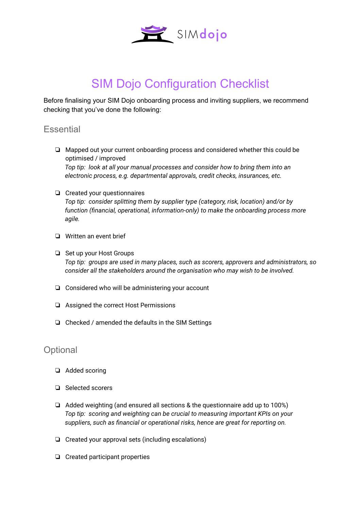

## SIM Dojo Configuration Checklist

Before finalising your SIM Dojo onboarding process and inviting suppliers, we recommend checking that you've done the following:

## **Essential**

- ❏ Mapped out your current onboarding process and considered whether this could be optimised / improved *Top tip: look at all your manual processes and consider how to bring them into an electronic process, e.g. departmental approvals, credit checks, insurances, etc.*
- ❏ Created your questionnaires *Top tip: consider splitting them by supplier type (category, risk, location) and/or by function (financial, operational, information-only) to make the onboarding process more agile.*
- ❏ Written an event brief
- ❏ Set up your Host Groups *Top tip: groups are used in many places, such as scorers, approvers and administrators, so consider all the stakeholders around the organisation who may wish to be involved.*
- ❏ Considered who will be administering your account
- ❏ Assigned the correct Host Permissions
- ❏ Checked / amended the defaults in the SIM Settings

## **Optional**

- ❏ Added scoring
- ❏ Selected scorers
- ❏ Added weighting (and ensured all sections & the questionnaire add up to 100%) *Top tip: scoring and weighting can be crucial to measuring important KPIs on your suppliers, such as financial or operational risks, hence are great for reporting on.*
- ❏ Created your approval sets (including escalations)
- ❏ Created participant properties